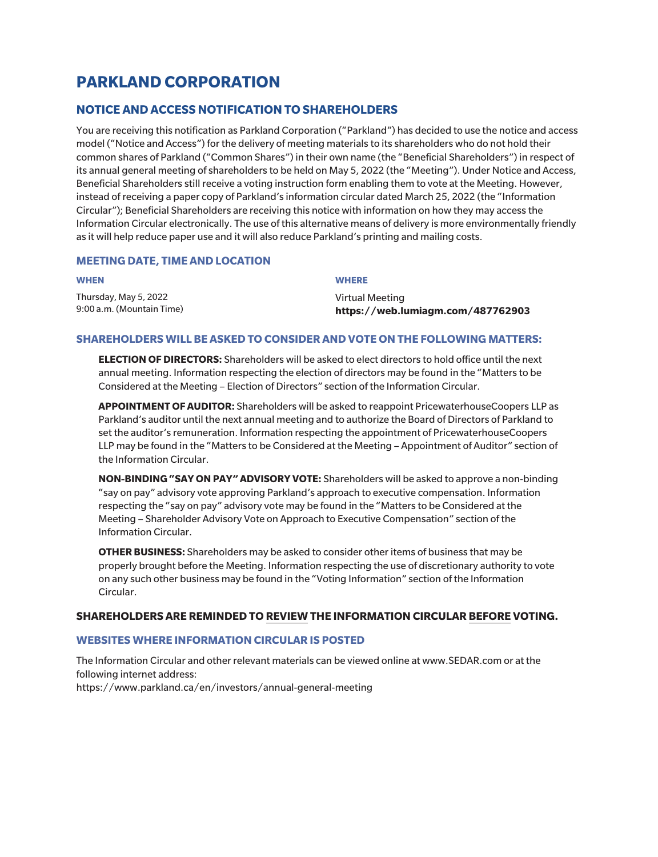# **PARKLAND CORPORATION**

# **NOTICE AND ACCESS NOTIFICATION TO SHAREHOLDERS**

You are receiving this notification as Parkland Corporation ("Parkland") has decided to use the notice and access model ("Notice and Access") for the delivery of meeting materials to its shareholders who do not hold their common shares of Parkland ("Common Shares") in their own name (the "Beneficial Shareholders") in respect of its annual general meeting of shareholders to be held on May 5, 2022 (the "Meeting"). Under Notice and Access, Beneficial Shareholders still receive a voting instruction form enabling them to vote at the Meeting. However, instead of receiving a paper copy of Parkland's information circular dated March 25, 2022 (the "Information Circular"); Beneficial Shareholders are receiving this notice with information on how they may access the Information Circular electronically. The use of this alternative means of delivery is more environmentally friendly as it will help reduce paper use and it will also reduce Parkland's printing and mailing costs.

# **MEETING DATE, TIME AND LOCATION**

| <b>WHEN</b>               | <b>WHERE</b>                      |
|---------------------------|-----------------------------------|
| Thursday, May 5, 2022     | Virtual Meeting                   |
| 9:00 a.m. (Mountain Time) | https://web.lumiagm.com/487762903 |

#### **SHAREHOLDERS WILL BE ASKED TO CONSIDER AND VOTE ON THE FOLLOWING MATTERS:**

**ELECTION OF DIRECTORS:** Shareholders will be asked to elect directors to hold office until the next annual meeting. Information respecting the election of directors may be found in the "Matters to be Considered at the Meeting – Election of Directors" section of the Information Circular.

**APPOINTMENT OF AUDITOR:** Shareholders will be asked to reappoint PricewaterhouseCoopers LLP as Parkland's auditor until the next annual meeting and to authorize the Board of Directors of Parkland to set the auditor's remuneration. Information respecting the appointment of PricewaterhouseCoopers LLP may be found in the "Matters to be Considered at the Meeting – Appointment of Auditor" section of the Information Circular.

**NON-BINDING "SAY ON PAY" ADVISORY VOTE:** Shareholders will be asked to approve a non-binding "say on pay" advisory vote approving Parkland's approach to executive compensation. Information respecting the "say on pay" advisory vote may be found in the "Matters to be Considered at the Meeting – Shareholder Advisory Vote on Approach to Executive Compensation" section of the Information Circular.

**OTHER BUSINESS:** Shareholders may be asked to consider other items of business that may be properly brought before the Meeting. Information respecting the use of discretionary authority to vote on any such other business may be found in the "Voting Information" section of the Information Circular.

# **SHAREHOLDERS ARE REMINDED TO REVIEW THE INFORMATION CIRCULAR BEFORE VOTING.**

# **WEBSITES WHERE INFORMATION CIRCULAR IS POSTED**

The Information Circular and other relevant materials can be viewed online at www.SEDAR.com or at the following internet address: https://www.parkland.ca/en/investors/annual-general-meeting